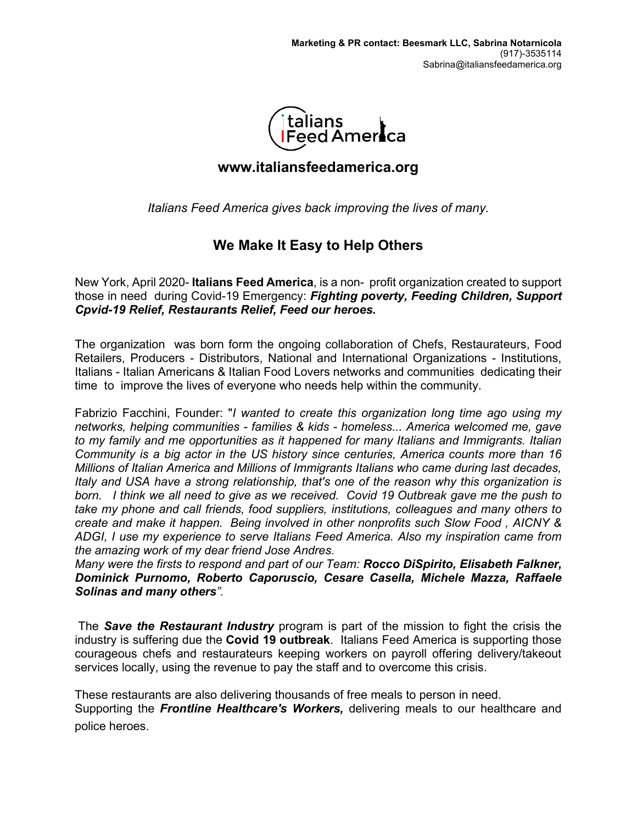

## **www.italiansfeedamerica.org**

*Italians Feed America gives back improving the lives of many.*

## **We Make It Easy to Help Others**

New York, April 2020- **Italians Feed America**, is a non- profit organization created to support those in need during Covid-19 Emergency: *Fighting poverty, Feeding Children, Support Cpvid-19 Relief, Restaurants Relief, Feed our heroes.*

The organization was born form the ongoing collaboration of Chefs, Restaurateurs, Food Retailers, Producers - Distributors, National and International Organizations - Institutions, Italians - Italian Americans & Italian Food Lovers networks and communities dedicating their time to improve the lives of everyone who needs help within the community.

Fabrizio Facchini, Founder: "*I wanted to create this organization long time ago using my networks, helping communities - families & kids - homeless... America welcomed me, gave to my family and me opportunities as it happened for many Italians and Immigrants. Italian Community is a big actor in the US history since centuries, America counts more than 16 Millions of Italian America and Millions of Immigrants Italians who came during last decades, Italy and USA have a strong relationship, that's one of the reason why this organization is born. I think we all need to give as we received. Covid 19 Outbreak gave me the push to take my phone and call friends, food suppliers, institutions, colleagues and many others to create and make it happen. Being involved in other nonprofits such Slow Food , AICNY & ADGI, I use my experience to serve Italians Feed America. Also my inspiration came from the amazing work of my dear friend Jose Andres.*

*Many were the firsts to respond and part of our Team: Rocco DiSpirito, Elisabeth Falkner, Dominick Purnomo, Roberto Caporuscio, Cesare Casella, Michele Mazza, Raffaele Solinas and many others".*

The *Save the Restaurant Industry* program is part of the mission to fight the crisis the industry is suffering due the **Covid 19 outbreak**. Italians Feed America is supporting those courageous chefs and restaurateurs keeping workers on payroll offering delivery/takeout services locally, using the revenue to pay the staff and to overcome this crisis.

These restaurants are also delivering thousands of free meals to person in need.

Supporting the *Frontline Healthcare's Workers,* delivering meals to our healthcare and police heroes.